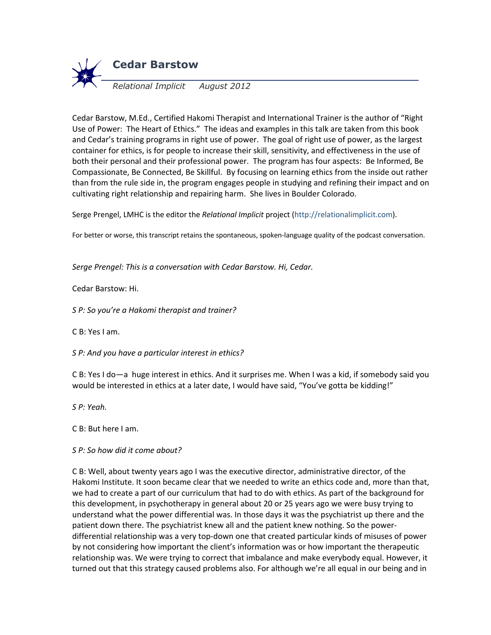

Cedar Barstow, M.Ed., Certified Hakomi Therapist and International Trainer is the author of "Right Use of Power: The Heart of Ethics." The ideas and examples in this talk are taken from this book and Cedar's training programs in right use of power. The goal of right use of power, as the largest container for ethics, is for people to increase their skill, sensitivity, and effectiveness in the use of both their personal and their professional power. The program has four aspects: Be Informed, Be Compassionate, Be Connected, Be Skillful. By focusing on learning ethics from the inside out rather than from the rule side in, the program engages people in studying and refining their impact and on cultivating right relationship and repairing harm. She lives in Boulder Colorado.

Serge Prengel, LMHC is the editor the *Relational Implicit* project (http://relationalimplicit.com).

For better or worse, this transcript retains the spontaneous, spoken-language quality of the podcast conversation.

*Serge Prengel: This is a conversation with Cedar Barstow. Hi, Cedar.*

Cedar Barstow: Hi.

*S P: So you're a Hakomi therapist and trainer?*

C B: Yes I am.

*S P: And you have a particular interest in ethics?*

C B: Yes I do—a huge interest in ethics. And it surprises me. When I was a kid, if somebody said you would be interested in ethics at a later date, I would have said, "You've gotta be kidding!"

*S P: Yeah.*

C B: But here I am.

#### *S P: So how did it come about?*

C B: Well, about twenty years ago I was the executive director, administrative director, of the Hakomi Institute. It soon became clear that we needed to write an ethics code and, more than that, we had to create a part of our curriculum that had to do with ethics. As part of the background for this development, in psychotherapy in general about 20 or 25 years ago we were busy trying to understand what the power differential was. In those days it was the psychiatrist up there and the patient down there. The psychiatrist knew all and the patient knew nothing. So the powerdifferential relationship was a very top-down one that created particular kinds of misuses of power by not considering how important the client's information was or how important the therapeutic relationship was. We were trying to correct that imbalance and make everybody equal. However, it turned out that this strategy caused problems also. For although we're all equal in our being and in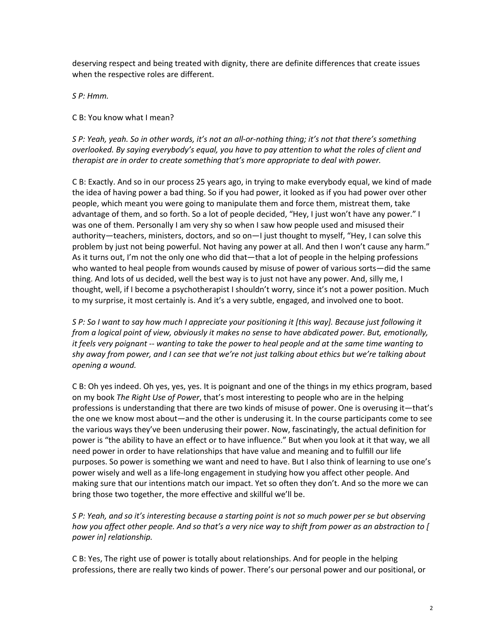deserving respect and being treated with dignity, there are definite differences that create issues when the respective roles are different.

*S P: Hmm.*

C B: You know what I mean?

*S P: Yeah, yeah. So in other words, it's not an all-or-nothing thing; it's not that there's something overlooked. By saying everybody's equal, you have to pay attention to what the roles of client and therapist are in order to create something that's more appropriate to deal with power.*

C B: Exactly. And so in our process 25 years ago, in trying to make everybody equal, we kind of made the idea of having power a bad thing. So if you had power, it looked as if you had power over other people, which meant you were going to manipulate them and force them, mistreat them, take advantage of them, and so forth. So a lot of people decided, "Hey, I just won't have any power." I was one of them. Personally I am very shy so when I saw how people used and misused their authority—teachers, ministers, doctors, and so on—I just thought to myself, "Hey, I can solve this problem by just not being powerful. Not having any power at all. And then I won't cause any harm." As it turns out, I'm not the only one who did that—that a lot of people in the helping professions who wanted to heal people from wounds caused by misuse of power of various sorts—did the same thing. And lots of us decided, well the best way is to just not have any power. And, silly me, I thought, well, if I become a psychotherapist I shouldn't worry, since it's not a power position. Much to my surprise, it most certainly is. And it's a very subtle, engaged, and involved one to boot.

*S P: So I want to say how much I appreciate your positioning it [this way]. Because just following it from a logical point of view, obviously it makes no sense to have abdicated power. But, emotionally, it feels very poignant -- wanting to take the power to heal people and at the same time wanting to shy away from power, and I can see that we're not just talking about ethics but we're talking about opening a wound.*

C B: Oh yes indeed. Oh yes, yes, yes. It is poignant and one of the things in my ethics program, based on my book *The Right Use of Power*, that's most interesting to people who are in the helping professions is understanding that there are two kinds of misuse of power. One is overusing it—that's the one we know most about—and the other is underusing it. In the course participants come to see the various ways they've been underusing their power. Now, fascinatingly, the actual definition for power is "the ability to have an effect or to have influence." But when you look at it that way, we all need power in order to have relationships that have value and meaning and to fulfill our life purposes. So power is something we want and need to have. But I also think of learning to use one's power wisely and well as a life-long engagement in studying how you affect other people. And making sure that our intentions match our impact. Yet so often they don't. And so the more we can bring those two together, the more effective and skillful we'll be.

*S P: Yeah, and so it's interesting because a starting point is not so much power per se but observing how you affect other people. And so that's a very nice way to shift from power as an abstraction to [ power in] relationship.*

C B: Yes, The right use of power is totally about relationships. And for people in the helping professions, there are really two kinds of power. There's our personal power and our positional, or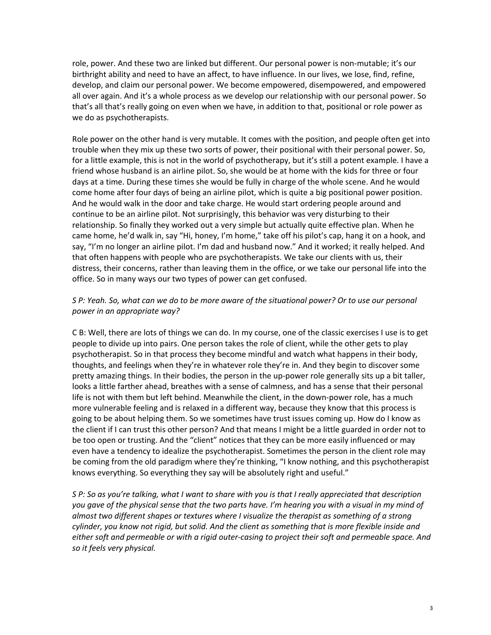role, power. And these two are linked but different. Our personal power is non-mutable; it's our birthright ability and need to have an affect, to have influence. In our lives, we lose, find, refine, develop, and claim our personal power. We become empowered, disempowered, and empowered all over again. And it's a whole process as we develop our relationship with our personal power. So that's all that's really going on even when we have, in addition to that, positional or role power as we do as psychotherapists.

Role power on the other hand is very mutable. It comes with the position, and people often get into trouble when they mix up these two sorts of power, their positional with their personal power. So, for a little example, this is not in the world of psychotherapy, but it's still a potent example. I have a friend whose husband is an airline pilot. So, she would be at home with the kids for three or four days at a time. During these times she would be fully in charge of the whole scene. And he would come home after four days of being an airline pilot, which is quite a big positional power position. And he would walk in the door and take charge. He would start ordering people around and continue to be an airline pilot. Not surprisingly, this behavior was very disturbing to their relationship. So finally they worked out a very simple but actually quite effective plan. When he came home, he'd walk in, say "Hi, honey, I'm home," take off his pilot's cap, hang it on a hook, and say, "I'm no longer an airline pilot. I'm dad and husband now." And it worked; it really helped. And that often happens with people who are psychotherapists. We take our clients with us, their distress, their concerns, rather than leaving them in the office, or we take our personal life into the office. So in many ways our two types of power can get confused.

# *S P: Yeah. So, what can we do to be more aware of the situational power? Or to use our personal power in an appropriate way?*

C B: Well, there are lots of things we can do. In my course, one of the classic exercises I use is to get people to divide up into pairs. One person takes the role of client, while the other gets to play psychotherapist. So in that process they become mindful and watch what happens in their body, thoughts, and feelings when they're in whatever role they're in. And they begin to discover some pretty amazing things. In their bodies, the person in the up-power role generally sits up a bit taller, looks a little farther ahead, breathes with a sense of calmness, and has a sense that their personal life is not with them but left behind. Meanwhile the client, in the down-power role, has a much more vulnerable feeling and is relaxed in a different way, because they know that this process is going to be about helping them. So we sometimes have trust issues coming up. How do I know as the client if I can trust this other person? And that means I might be a little guarded in order not to be too open or trusting. And the "client" notices that they can be more easily influenced or may even have a tendency to idealize the psychotherapist. Sometimes the person in the client role may be coming from the old paradigm where they're thinking, "I know nothing, and this psychotherapist knows everything. So everything they say will be absolutely right and useful."

*S P: So as you're talking, what I want to share with you is that I really appreciated that description you gave of the physical sense that the two parts have. I'm hearing you with a visual in my mind of almost two different shapes or textures where I visualize the therapist as something of a strong cylinder, you know not rigid, but solid. And the client as something that is more flexible inside and either soft and permeable or with a rigid outer-casing to project their soft and permeable space. And so it feels very physical.*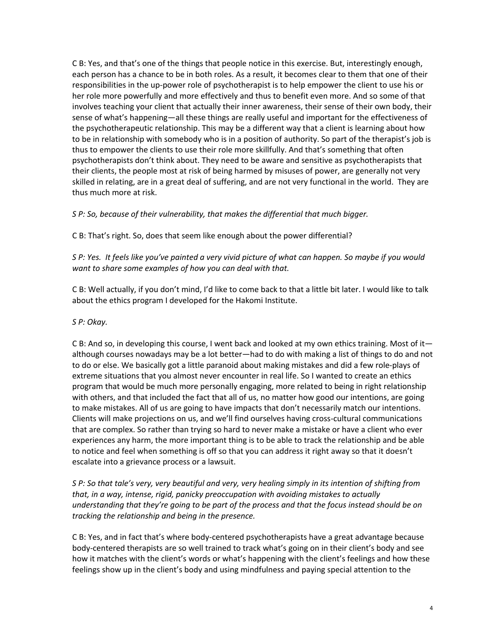C B: Yes, and that's one of the things that people notice in this exercise. But, interestingly enough, each person has a chance to be in both roles. As a result, it becomes clear to them that one of their responsibilities in the up-power role of psychotherapist is to help empower the client to use his or her role more powerfully and more effectively and thus to benefit even more. And so some of that involves teaching your client that actually their inner awareness, their sense of their own body, their sense of what's happening—all these things are really useful and important for the effectiveness of the psychotherapeutic relationship. This may be a different way that a client is learning about how to be in relationship with somebody who is in a position of authority. So part of the therapist's job is thus to empower the clients to use their role more skillfully. And that's something that often psychotherapists don't think about. They need to be aware and sensitive as psychotherapists that their clients, the people most at risk of being harmed by misuses of power, are generally not very skilled in relating, are in a great deal of suffering, and are not very functional in the world. They are thus much more at risk.

*S P: So, because of their vulnerability, that makes the differential that much bigger.*

C B: That's right. So, does that seem like enough about the power differential?

*S P: Yes. It feels like you've painted a very vivid picture of what can happen. So maybe if you would want to share some examples of how you can deal with that.*

C B: Well actually, if you don't mind, I'd like to come back to that a little bit later. I would like to talk about the ethics program I developed for the Hakomi Institute.

## *S P: Okay.*

C B: And so, in developing this course, I went back and looked at my own ethics training. Most of it although courses nowadays may be a lot better—had to do with making a list of things to do and not to do or else. We basically got a little paranoid about making mistakes and did a few role-plays of extreme situations that you almost never encounter in real life. So I wanted to create an ethics program that would be much more personally engaging, more related to being in right relationship with others, and that included the fact that all of us, no matter how good our intentions, are going to make mistakes. All of us are going to have impacts that don't necessarily match our intentions. Clients will make projections on us, and we'll find ourselves having cross-cultural communications that are complex. So rather than trying so hard to never make a mistake or have a client who ever experiences any harm, the more important thing is to be able to track the relationship and be able to notice and feel when something is off so that you can address it right away so that it doesn't escalate into a grievance process or a lawsuit.

*S P: So that tale's very, very beautiful and very, very healing simply in its intention of shifting from that, in a way, intense, rigid, panicky preoccupation with avoiding mistakes to actually understanding that they're going to be part of the process and that the focus instead should be on tracking the relationship and being in the presence.*

C B: Yes, and in fact that's where body-centered psychotherapists have a great advantage because body-centered therapists are so well trained to track what's going on in their client's body and see how it matches with the client's words or what's happening with the client's feelings and how these feelings show up in the client's body and using mindfulness and paying special attention to the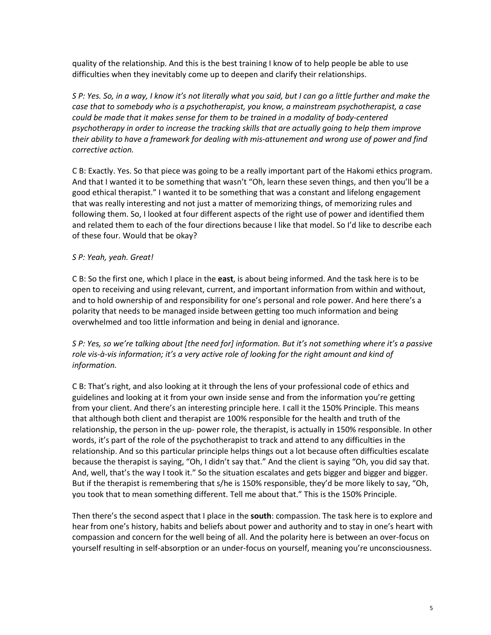quality of the relationship. And this is the best training I know of to help people be able to use difficulties when they inevitably come up to deepen and clarify their relationships.

*S P: Yes. So, in a way, I know it's not literally what you said, but I can go a little further and make the case that to somebody who is a psychotherapist, you know, a mainstream psychotherapist, a case could be made that it makes sense for them to be trained in a modality of body-centered psychotherapy in order to increase the tracking skills that are actually going to help them improve their ability to have a framework for dealing with mis-attunement and wrong use of power and find corrective action.*

C B: Exactly. Yes. So that piece was going to be a really important part of the Hakomi ethics program. And that I wanted it to be something that wasn't "Oh, learn these seven things, and then you'll be a good ethical therapist." I wanted it to be something that was a constant and lifelong engagement that was really interesting and not just a matter of memorizing things, of memorizing rules and following them. So, I looked at four different aspects of the right use of power and identified them and related them to each of the four directions because I like that model. So I'd like to describe each of these four. Would that be okay?

### *S P: Yeah, yeah. Great!*

C B: So the first one, which I place in the **east**, is about being informed. And the task here is to be open to receiving and using relevant, current, and important information from within and without, and to hold ownership of and responsibility for one's personal and role power. And here there's a polarity that needs to be managed inside between getting too much information and being overwhelmed and too little information and being in denial and ignorance.

# *S P: Yes, so we're talking about [the need for] information. But it's not something where it's a passive role vis-à-vis information; it's a very active role of looking for the right amount and kind of information.*

C B: That's right, and also looking at it through the lens of your professional code of ethics and guidelines and looking at it from your own inside sense and from the information you're getting from your client. And there's an interesting principle here. I call it the 150% Principle. This means that although both client and therapist are 100% responsible for the health and truth of the relationship, the person in the up- power role, the therapist, is actually in 150% responsible. In other words, it's part of the role of the psychotherapist to track and attend to any difficulties in the relationship. And so this particular principle helps things out a lot because often difficulties escalate because the therapist is saying, "Oh, I didn't say that." And the client is saying "Oh, you did say that. And, well, that's the way I took it." So the situation escalates and gets bigger and bigger and bigger. But if the therapist is remembering that s/he is 150% responsible, they'd be more likely to say, "Oh, you took that to mean something different. Tell me about that." This is the 150% Principle.

Then there's the second aspect that I place in the **south**: compassion. The task here is to explore and hear from one's history, habits and beliefs about power and authority and to stay in one's heart with compassion and concern for the well being of all. And the polarity here is between an over-focus on yourself resulting in self-absorption or an under-focus on yourself, meaning you're unconsciousness.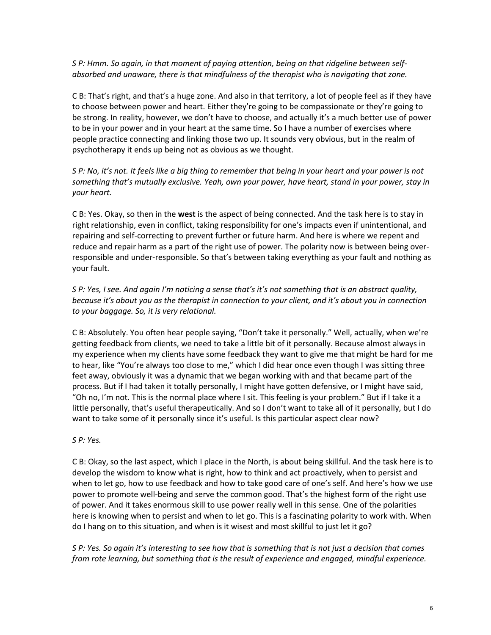*S P: Hmm. So again, in that moment of paying attention, being on that ridgeline between selfabsorbed and unaware, there is that mindfulness of the therapist who is navigating that zone.*

C B: That's right, and that's a huge zone. And also in that territory, a lot of people feel as if they have to choose between power and heart. Either they're going to be compassionate or they're going to be strong. In reality, however, we don't have to choose, and actually it's a much better use of power to be in your power and in your heart at the same time. So I have a number of exercises where people practice connecting and linking those two up. It sounds very obvious, but in the realm of psychotherapy it ends up being not as obvious as we thought.

*S P: No, it's not. It feels like a big thing to remember that being in your heart and your power is not something that's mutually exclusive. Yeah, own your power, have heart, stand in your power, stay in your heart.* 

C B: Yes. Okay, so then in the **west** is the aspect of being connected. And the task here is to stay in right relationship, even in conflict, taking responsibility for one's impacts even if unintentional, and repairing and self-correcting to prevent further or future harm. And here is where we repent and reduce and repair harm as a part of the right use of power. The polarity now is between being overresponsible and under-responsible. So that's between taking everything as your fault and nothing as your fault.

*S P: Yes, I see. And again I'm noticing a sense that's it's not something that is an abstract quality, because it's about you as the therapist in connection to your client, and it's about you in connection to your baggage. So, it is very relational.*

C B: Absolutely. You often hear people saying, "Don't take it personally." Well, actually, when we're getting feedback from clients, we need to take a little bit of it personally. Because almost always in my experience when my clients have some feedback they want to give me that might be hard for me to hear, like "You're always too close to me," which I did hear once even though I was sitting three feet away, obviously it was a dynamic that we began working with and that became part of the process. But if I had taken it totally personally, I might have gotten defensive, or I might have said, "Oh no, I'm not. This is the normal place where I sit. This feeling is your problem." But if I take it a little personally, that's useful therapeutically. And so I don't want to take all of it personally, but I do want to take some of it personally since it's useful. Is this particular aspect clear now?

#### *S P: Yes.*

C B: Okay, so the last aspect, which I place in the North, is about being skillful. And the task here is to develop the wisdom to know what is right, how to think and act proactively, when to persist and when to let go, how to use feedback and how to take good care of one's self. And here's how we use power to promote well-being and serve the common good. That's the highest form of the right use of power. And it takes enormous skill to use power really well in this sense. One of the polarities here is knowing when to persist and when to let go. This is a fascinating polarity to work with. When do I hang on to this situation, and when is it wisest and most skillful to just let it go?

*S P: Yes. So again it's interesting to see how that is something that is not just a decision that comes from rote learning, but something that is the result of experience and engaged, mindful experience.*